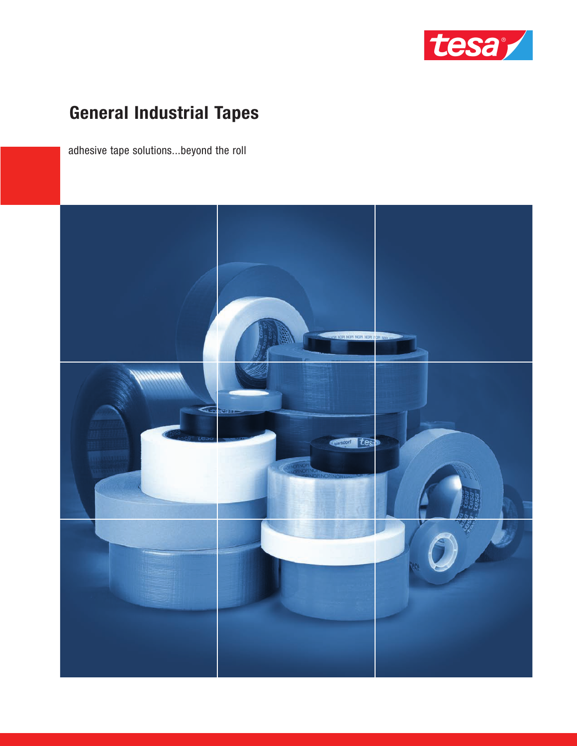

# **General Industrial Tapes**

adhesive tape solutions...beyond the roll

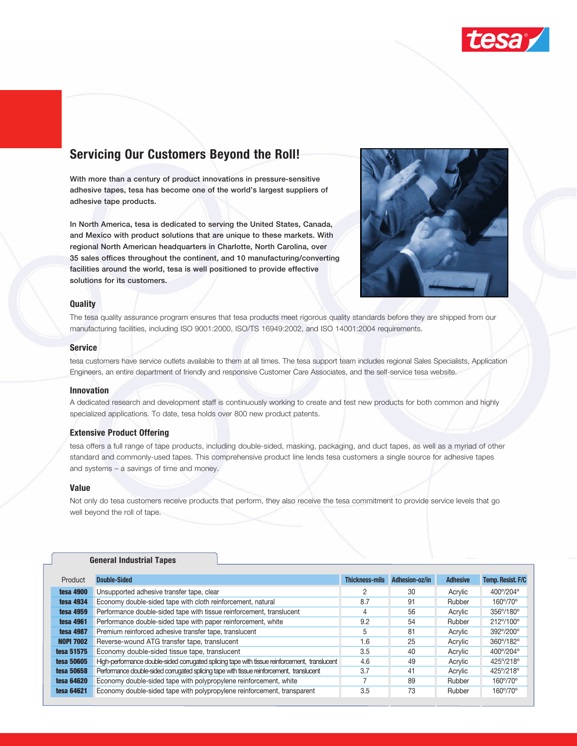

# **Servicing Our Customers Beyond the Roll!**

**With more than a century of product innovations in pressure-sensitive adhesive tapes, tesa has become one of the world's largest suppliers of adhesive tape products.** 

**In North America, tesa is dedicated to serving the United States, Canada, and Mexico with product solutions that are unique to these markets. With regional North American headquarters in Charlotte, North Carolina, over 35 sales offices throughout the continent, and 10 manufacturing/converting facilities around the world, tesa is well positioned to provide effective solutions for its customers.**



### **Quality**

The tesa quality assurance program ensures that tesa products meet rigorous quality standards before they are shipped from our manufacturing facilities, including ISO 9001:2000, ISO/TS 16949:2002, and ISO 14001:2004 requirements.

#### **Service**

tesa customers have service outlets available to them at all times. The tesa support team includes regional Sales Specialists, Application Engineers, an entire department of friendly and responsive Customer Care Associates, and the self-service tesa website.

#### **Innovation**

A dedicated research and development staff is continuously working to create and test new products for both common and highly specialized applications. To date, tesa holds over 800 new product patents.

#### **Extensive Product Offering**

tesa offers a full range of tape products, including double-sided, masking, packaging, and duct tapes, as well as a myriad of other standard and commonly-used tapes. This comprehensive product line lends tesa customers a single source for adhesive tapes and systems – a savings of time and money.

#### **Value**

Not only do tesa customers receive products that perform, they also receive the tesa commitment to provide service levels that go well beyond the roll of tape.

#### **General Industrial Tapes**

| Product          | Double-Sided                                                                                  | <b>Thickness-mils</b> | Adhesion-oz/in | <b>Adhesive</b> | Temp. Resist. F/C |
|------------------|-----------------------------------------------------------------------------------------------|-----------------------|----------------|-----------------|-------------------|
| <b>tesa 4900</b> | Unsupported adhesive transfer tape, clear                                                     |                       | 30             | Acrylic         | 400°/204°         |
| tesa 4934        | Economy double-sided tape with cloth reinforcement, natural                                   | 8.7                   | 91             | Rubber          | 160°/70°          |
| tesa 4959        | Performance double-sided tape with tissue reinforcement, translucent                          | 4                     | 56             | Acrylic         | 356°/180°         |
| tesa 4961        | Performance double-sided tape with paper reinforcement, white                                 | 9.2                   | 54             | Rubber          | 212°/100°         |
| <b>tesa 4987</b> | Premium reinforced adhesive transfer tape, translucent                                        | 5                     | 81             | Acrylic         | 392°/200°         |
| <b>NOPI 7002</b> | Reverse-wound ATG transfer tape, translucent                                                  | 1.6                   | 25             | Acrylic         | 360°/182°         |
| tesa 51575       | Economy double-sided tissue tape, translucent                                                 | 3.5                   | 40             | Acrylic         | 400°/204°         |
| tesa 50605       | High-performance double-sided corrugated splicing tape with tissue reinforcement, translucent | 4.6                   | 49             | Acrylic         | 425°/218°         |
| tesa 50658       | Performance double-sided corrugated splicing tape with tissue reinforcement, translucent      | 3.7                   | 41             | Acrylic         | 425°/218°         |
| tesa 64620       | Economy double-sided tape with polypropylene reinforcement, white                             |                       | 89             | Rubber          | 160°/70°          |
| tesa 64621       | Economy double-sided tape with polypropylene reinforcement, transparent                       | 3.5                   | 73             | Rubber          | 160°/70°          |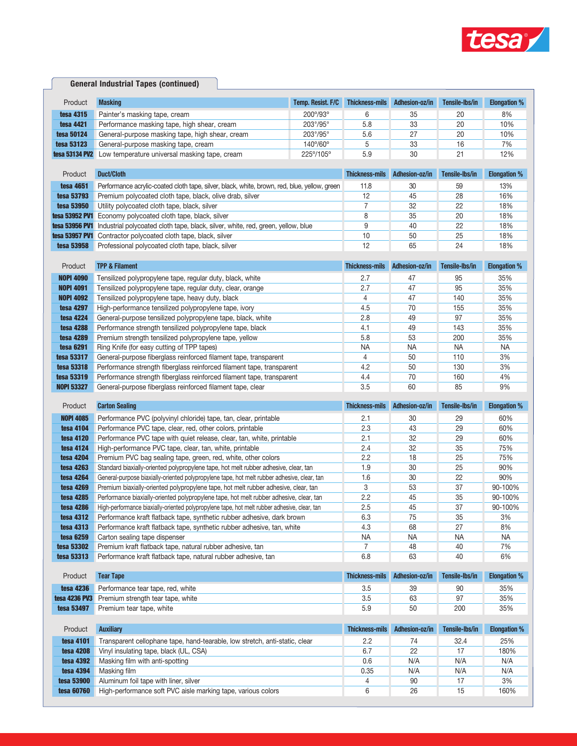

### **General Industrial Tapes (continued)**

| Product                  | <b>Masking</b>                                                                                                                            | Temp. Resist. F/C | <b>Thickness-mils</b> | Adhesion-oz/in | Tensile-Ibs/in | <b>Elongation %</b> |
|--------------------------|-------------------------------------------------------------------------------------------------------------------------------------------|-------------------|-----------------------|----------------|----------------|---------------------|
| tesa 4315                | Painter's masking tape, cream                                                                                                             | 200°/93°          | 6                     | 35             | 20             | 8%                  |
| tesa 4421                | Performance masking tape, high shear, cream                                                                                               | 203°/95°          | 5.8                   | 33             | 20             | 10%                 |
| tesa 50124               | General-purpose masking tape, high shear, cream                                                                                           | 203°/95°          | 5.6                   | 27             | 20             | 10%                 |
| tesa 53123               | General-purpose masking tape, cream                                                                                                       | 140°/60°          | 5                     | 33             | 16             | 7%                  |
| tesa 53134 PV2           | Low temperature universal masking tape, cream                                                                                             | 225°/105°         | 5.9                   | 30             | 21             | 12%                 |
|                          |                                                                                                                                           |                   |                       |                |                |                     |
| Product                  | <b>Duct/Cloth</b>                                                                                                                         |                   | <b>Thickness-mils</b> | Adhesion-oz/in | Tensile-Ibs/in | <b>Elongation %</b> |
| tesa 4651                | Performance acrylic-coated cloth tape, silver, black, white, brown, red, blue, yellow, green                                              |                   | 11.8                  | 30             | 59             | 13%                 |
| tesa 53793               | Premium polycoated cloth tape, black, olive drab, silver                                                                                  |                   | 12                    | 45             | 28             | 16%                 |
| tesa 53950               | Utility polycoated cloth tape, black, silver                                                                                              |                   | 7                     | 32             | 22             | 18%                 |
|                          | tesa 53952 PV1 Economy polycoated cloth tape, black, silver                                                                               |                   | 8                     | 35             | 20             | 18%                 |
| tesa 53956 PV1           | Industrial polycoated cloth tape, black, silver, white, red, green, yellow, blue                                                          |                   | 9                     | 40             | 22             | 18%                 |
|                          | tesa 53957 PV1 Contractor polycoated cloth tape, black, silver                                                                            |                   | 10                    | 50             | 25             | 18%                 |
| tesa 53958               | Professional polycoated cloth tape, black, silver                                                                                         |                   | 12                    | 65             | 24             | 18%                 |
| Product                  | <b>TPP &amp; Filament</b>                                                                                                                 |                   | <b>Thickness-mils</b> | Adhesion-oz/in | Tensile-Ibs/in | <b>Elongation %</b> |
|                          |                                                                                                                                           |                   |                       |                |                |                     |
| <b>NOPI 4090</b>         | Tensilized polypropylene tape, regular duty, black, white                                                                                 |                   | 2.7                   | 47             | 95             | 35%                 |
| <b>NOPI 4091</b>         | Tensilized polypropylene tape, regular duty, clear, orange                                                                                |                   | 2.7                   | 47             | 95             | 35%                 |
| <b>NOPI 4092</b>         | Tensilized polypropylene tape, heavy duty, black                                                                                          |                   | $\overline{4}$        | 47             | 140            | 35%                 |
| tesa 4297                | High-performance tensilized polypropylene tape, ivory                                                                                     |                   | 4.5                   | 70             | 155            | 35%                 |
| <b>tesa 4224</b>         | General-purpose tensilized polypropylene tape, black, white                                                                               |                   | 2.8                   | 49             | 97             | 35%                 |
| <b>tesa 4288</b>         | Performance strength tensilized polypropylene tape, black                                                                                 |                   | 4.1                   | 49             | 143            | 35%                 |
| tesa 4289                | Premium strength tensilized polypropylene tape, yellow                                                                                    |                   | 5.8                   | 53             | 200            | 35%                 |
| <b>tesa 6291</b>         | Ring Knife (for easy cutting of TPP tapes)                                                                                                |                   | <b>NA</b>             | <b>NA</b>      | <b>NA</b>      | <b>NA</b>           |
| tesa 53317<br>tesa 53318 | General-purpose fiberglass reinforced filament tape, transparent<br>Performance strength fiberglass reinforced filament tape, transparent |                   | $\overline{4}$<br>4.2 | 50<br>50       | 110<br>130     | 3%<br>3%            |
| tesa 53319               |                                                                                                                                           |                   | 4.4                   | 70             | 160            | 4%                  |
| <b>NOPI 53327</b>        | Performance strength fiberglass reinforced filament tape, transparent<br>General-purpose fiberglass reinforced filament tape, clear       |                   | 3.5                   | 60             | 85             | 9%                  |
|                          |                                                                                                                                           |                   |                       |                |                |                     |
|                          |                                                                                                                                           |                   |                       |                |                |                     |
| Product                  | <b>Carton Sealing</b>                                                                                                                     |                   | <b>Thickness-mils</b> | Adhesion-oz/in | Tensile-Ibs/in | <b>Elongation %</b> |
| <b>NOPI 4085</b>         | Performance PVC (polyvinyl chloride) tape, tan, clear, printable                                                                          |                   | 2.1                   | 30             | 29             | 60%                 |
| tesa 4104                | Performance PVC tape, clear, red, other colors, printable                                                                                 |                   | 2.3                   | 43             | 29             | 60%                 |
| tesa 4120                | Performance PVC tape with quiet release, clear, tan, white, printable                                                                     |                   | 2.1                   | 32             | 29             | 60%                 |
| tesa 4124                | High-performance PVC tape, clear, tan, white, printable                                                                                   |                   | 2.4                   | 32             | 35             | 75%                 |
| <b>tesa 4204</b>         | Premium PVC bag sealing tape, green, red, white, other colors                                                                             |                   | 2.2                   | 18             | 25             | 75%                 |
| tesa 4263                | Standard biaxially-oriented polypropylene tape, hot melt rubber adhesive, clear, tan                                                      |                   | 1.9                   | 30             | 25             | 90%                 |
| <b>tesa 4264</b>         | General-purpose biaxially-oriented polypropylene tape, hot melt rubber adhesive, clear, tan                                               |                   | 1.6                   | 30             | 22             | 90%                 |
| <b>tesa 4269</b>         | Premium biaxially-oriented polypropylene tape, hot melt rubber adhesive, clear, tan                                                       |                   | 3                     | 53             | 37             | 90-100%             |
| <b>tesa 4285</b>         | Performance biaxially-oriented polypropylene tape, hot melt rubber adhesive, clear, tan                                                   |                   | 2.2                   | 45             | 35             | 90-100%             |
| tesa 4286                | High-performance biaxially-oriented polypropylene tape, hot melt rubber adhesive, clear, tan                                              |                   | 2.5                   | 45             | 37             | 90-100%             |
| tesa 4312                | Performance kraft flatback tape, synthetic rubber adhesive, dark brown                                                                    |                   | 6.3                   | 75             | 35             | 3%                  |
| tesa 4313                | Performance kraft flatback tape, synthetic rubber adhesive, tan, white                                                                    |                   | 4.3                   | 68             | 27             | 8%                  |
| tesa 6259                | Carton sealing tape dispenser                                                                                                             |                   | ΝA                    | ΝA             | ΝA             | NA                  |
| tesa 53302               | Premium kraft flatback tape, natural rubber adhesive, tan                                                                                 |                   | $\overline{7}$        | 48             | 40             | 7%                  |
| tesa 53313               | Performance kraft flatback tape, natural rubber adhesive, tan                                                                             |                   | 6.8                   | 63             | 40             | 6%                  |
| Product                  | <b>Tear Tape</b>                                                                                                                          |                   | <b>Thickness-mils</b> | Adhesion-oz/in | Tensile-Ibs/in | <b>Elongation %</b> |
| tesa 4236                | Performance tear tape, red, white                                                                                                         |                   | 3.5                   | 39             | 90             | 35%                 |
| tesa 4236 PV3            | Premium strength tear tape, white                                                                                                         |                   | 3.5                   | 63             | 97             | 35%                 |
| tesa 53497               | Premium tear tape, white                                                                                                                  |                   | 5.9                   | 50             | 200            | 35%                 |
|                          |                                                                                                                                           |                   |                       |                |                |                     |
| Product                  | <b>Auxiliary</b>                                                                                                                          |                   | <b>Thickness-mils</b> | Adhesion-oz/in | Tensile-Ibs/in | <b>Elongation %</b> |
| tesa 4101                | Transparent cellophane tape, hand-tearable, low stretch, anti-static, clear                                                               |                   | 2.2                   | 74             | 32.4           | 25%                 |
| <b>tesa 4208</b>         | Vinyl insulating tape, black (UL, CSA)                                                                                                    |                   | 6.7                   | 22             | 17             | 180%                |
| tesa 4392                | Masking film with anti-spotting                                                                                                           |                   | 0.6                   | N/A            | N/A            | N/A                 |
| tesa 4394                | Masking film                                                                                                                              |                   | 0.35                  | N/A            | N/A            | N/A                 |
| tesa 53900               | Aluminum foil tape with liner, silver                                                                                                     |                   | 4                     | 90             | 17             | 3%                  |
| tesa 60760               | High-performance soft PVC aisle marking tape, various colors                                                                              |                   | 6                     | 26             | 15             | 160%                |